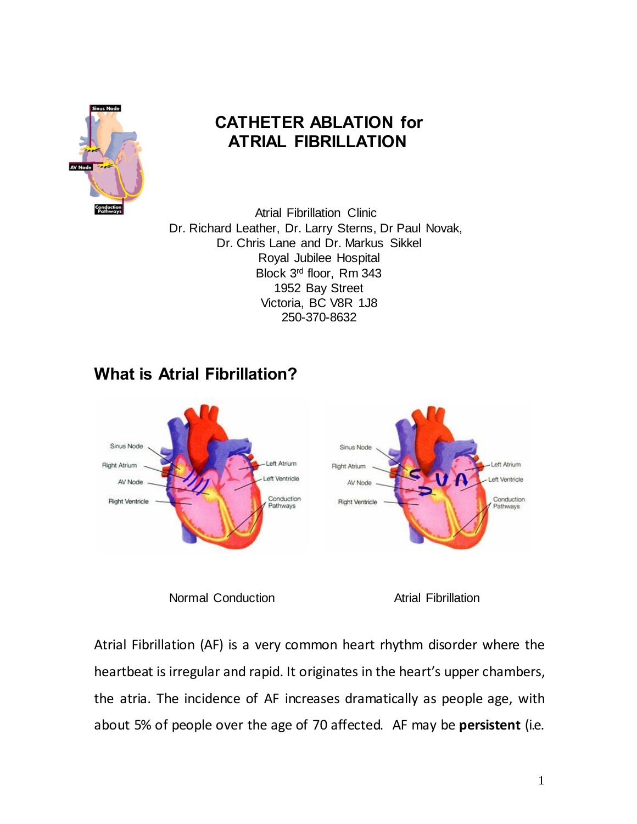

## **CATHETER ABLATION for ATRIAL FIBRILLATION**

 Atrial Fibrillation Clinic Dr. Richard Leather, Dr. Larry Sterns, Dr Paul Novak, Dr. Chris Lane and Dr. Markus Sikkel Royal Jubilee Hospital Block 3rd floor, Rm 343 1952 Bay Street Victoria, BC V8R 1J8 250-370-8632

## **What is Atrial Fibrillation?**



Normal Conduction **Atrial Fibrillation** 

Atrial Fibrillation (AF) is a very common heart rhythm disorder where the heartbeat is irregular and rapid. It originates in the heart's upper chambers, the atria. The incidence of AF increases dramatically as people age, with about 5% of people over the age of 70 affected. AF may be **persistent** (i.e.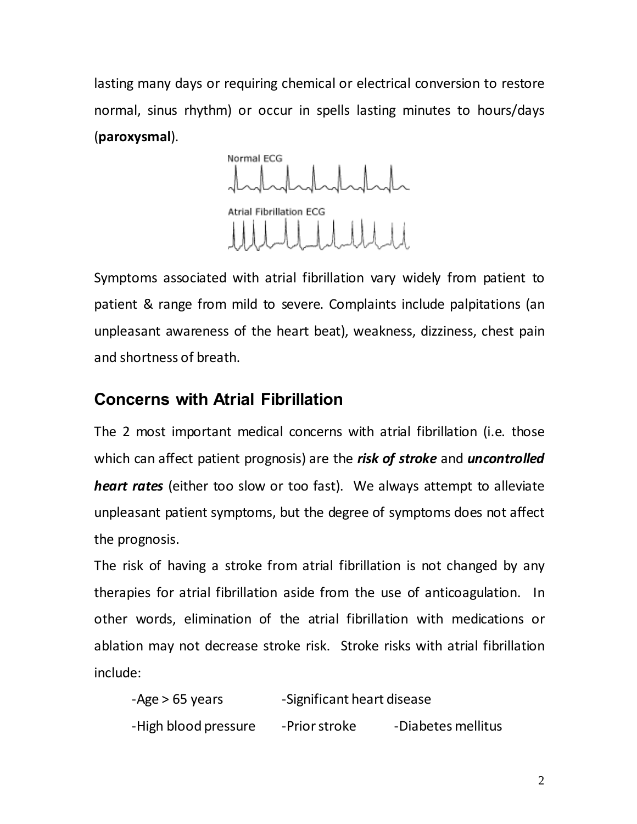lasting many days or requiring chemical or electrical conversion to restore normal, sinus rhythm) or occur in spells lasting minutes to hours/days (**paroxysmal**).

Normal ECG **Atrial Fibrillation ECG** Uddddd

Symptoms associated with atrial fibrillation vary widely from patient to patient & range from mild to severe. Complaints include palpitations (an unpleasant awareness of the heart beat), weakness, dizziness, chest pain and shortness of breath.

## **Concerns with Atrial Fibrillation**

The 2 most important medical concerns with atrial fibrillation (i.e. those which can affect patient prognosis) are the *risk of stroke* and *uncontrolled heart rates* (either too slow or too fast). We always attempt to alleviate unpleasant patient symptoms, but the degree of symptoms does not affect the prognosis.

The risk of having a stroke from atrial fibrillation is not changed by any therapies for atrial fibrillation aside from the use of anticoagulation. In other words, elimination of the atrial fibrillation with medications or ablation may not decrease stroke risk. Stroke risks with atrial fibrillation include:

-Age > 65 years -Significant heart disease -High blood pressure -Prior stroke -Diabetes mellitus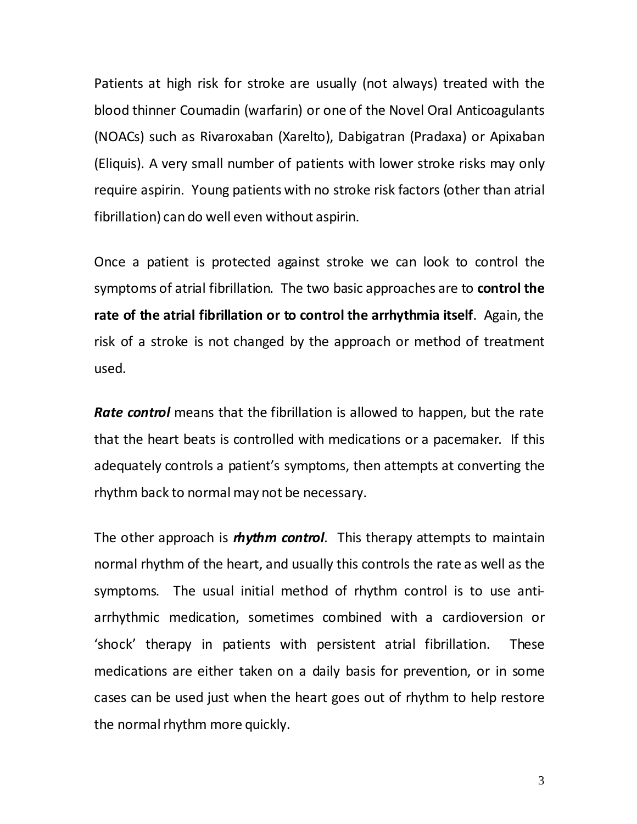Patients at high risk for stroke are usually (not always) treated with the blood thinner Coumadin (warfarin) or one of the Novel Oral Anticoagulants (NOACs) such as Rivaroxaban (Xarelto), Dabigatran (Pradaxa) or Apixaban (Eliquis). A very small number of patients with lower stroke risks may only require aspirin. Young patients with no stroke risk factors (other than atrial fibrillation) can do well even without aspirin.

Once a patient is protected against stroke we can look to control the symptoms of atrial fibrillation. The two basic approaches are to **control the rate of the atrial fibrillation or to control the arrhythmia itself**. Again, the risk of a stroke is not changed by the approach or method of treatment used.

*Rate control* means that the fibrillation is allowed to happen, but the rate that the heart beats is controlled with medications or a pacemaker. If this adequately controls a patient's symptoms, then attempts at converting the rhythm back to normal may not be necessary.

The other approach is *rhythm control*. This therapy attempts to maintain normal rhythm of the heart, and usually this controls the rate as well as the symptoms. The usual initial method of rhythm control is to use antiarrhythmic medication, sometimes combined with a cardioversion or 'shock' therapy in patients with persistent atrial fibrillation. These medications are either taken on a daily basis for prevention, or in some cases can be used just when the heart goes out of rhythm to help restore the normal rhythm more quickly.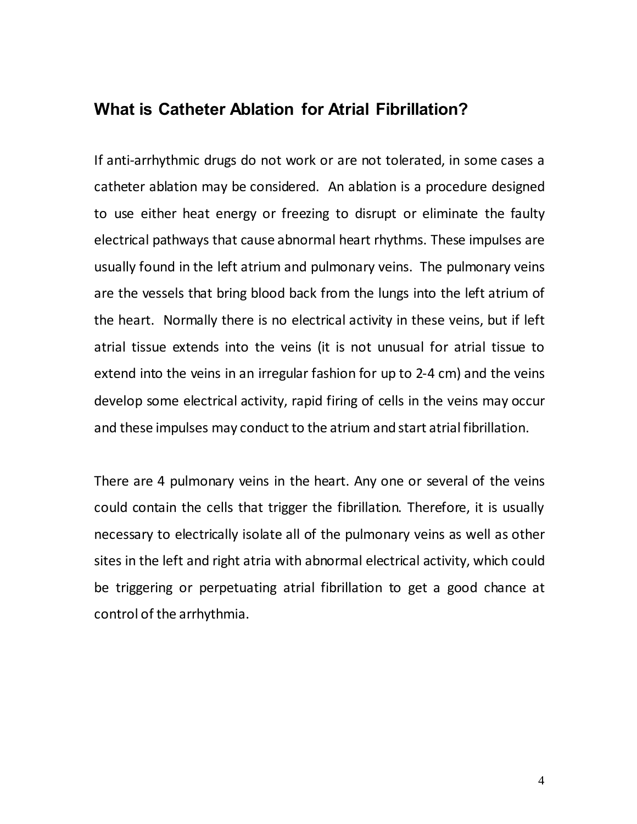#### **What is Catheter Ablation for Atrial Fibrillation?**

If anti-arrhythmic drugs do not work or are not tolerated, in some cases a catheter ablation may be considered. An ablation is a procedure designed to use either heat energy or freezing to disrupt or eliminate the faulty electrical pathways that cause abnormal heart rhythms. These impulses are usually found in the left atrium and pulmonary veins. The pulmonary veins are the vessels that bring blood back from the lungs into the left atrium of the heart. Normally there is no electrical activity in these veins, but if left atrial tissue extends into the veins (it is not unusual for atrial tissue to extend into the veins in an irregular fashion for up to 2-4 cm) and the veins develop some electrical activity, rapid firing of cells in the veins may occur and these impulses may conduct to the atrium and start atrial fibrillation.

There are 4 pulmonary veins in the heart. Any one or several of the veins could contain the cells that trigger the fibrillation. Therefore, it is usually necessary to electrically isolate all of the pulmonary veins as well as other sites in the left and right atria with abnormal electrical activity, which could be triggering or perpetuating atrial fibrillation to get a good chance at control of the arrhythmia.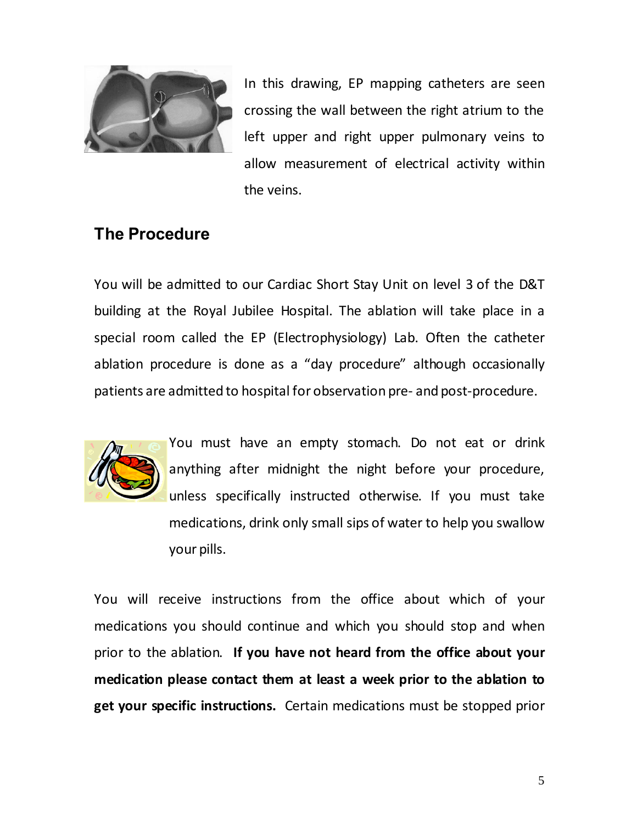

In this drawing, EP mapping catheters are seen crossing the wall between the right atrium to the left upper and right upper pulmonary veins to allow measurement of electrical activity within the veins.

### **The Procedure**

You will be admitted to our Cardiac Short Stay Unit on level 3 of the D&T building at the Royal Jubilee Hospital. The ablation will take place in a special room called the EP (Electrophysiology) Lab. Often the catheter ablation procedure is done as a "day procedure" although occasionally patients are admitted to hospital for observation pre- and post-procedure.



You must have an empty stomach. Do not eat or drink anything after midnight the night before your procedure, unless specifically instructed otherwise. If you must take medications, drink only small sips of water to help you swallow your pills.

You will receive instructions from the office about which of your medications you should continue and which you should stop and when prior to the ablation. **If you have not heard from the office about your medication please contact them at least a week prior to the ablation to get your specific instructions.** Certain medications must be stopped prior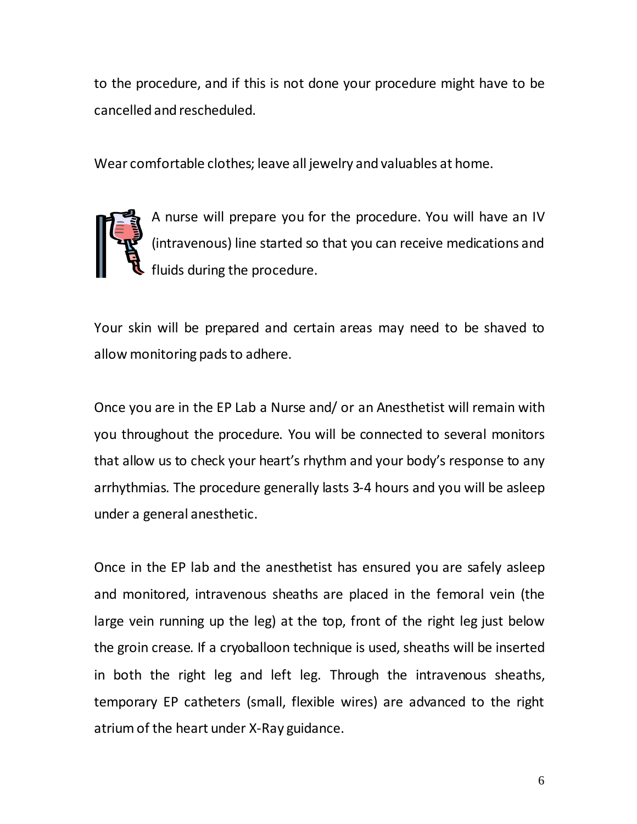to the procedure, and if this is not done your procedure might have to be cancelled and rescheduled.

Wear comfortable clothes; leave all jewelry and valuables at home.



A nurse will prepare you for the procedure. You will have an IV (intravenous) line started so that you can receive medications and fluids during the procedure.

Your skin will be prepared and certain areas may need to be shaved to allow monitoring pads to adhere.

Once you are in the EP Lab a Nurse and/ or an Anesthetist will remain with you throughout the procedure. You will be connected to several monitors that allow us to check your heart's rhythm and your body's response to any arrhythmias. The procedure generally lasts 3-4 hours and you will be asleep under a general anesthetic.

Once in the EP lab and the anesthetist has ensured you are safely asleep and monitored, intravenous sheaths are placed in the femoral vein (the large vein running up the leg) at the top, front of the right leg just below the groin crease. If a cryoballoon technique is used, sheaths will be inserted in both the right leg and left leg. Through the intravenous sheaths, temporary EP catheters (small, flexible wires) are advanced to the right atriumof the heart under X-Ray guidance.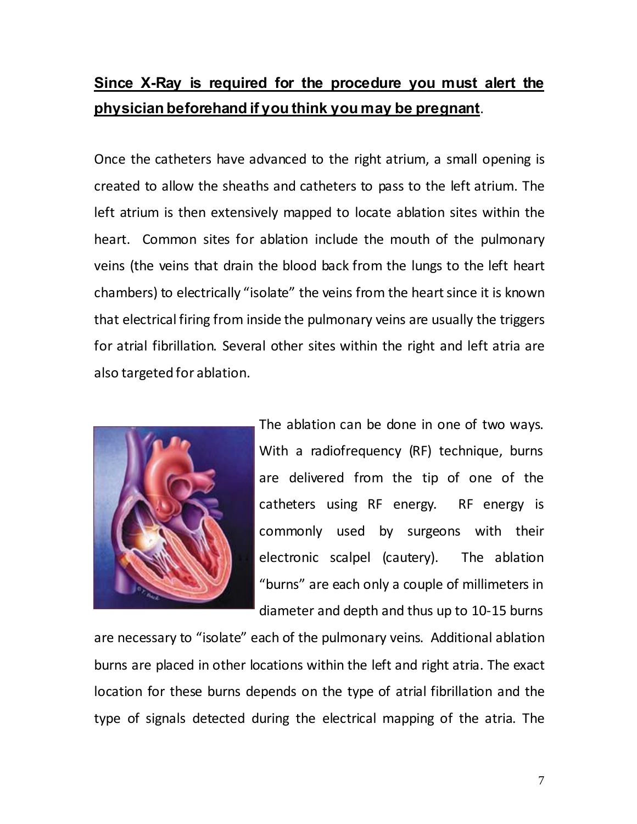## **Since X-Ray is required for the procedure you must alert the physician beforehand if you think you may be pregnant**.

Once the catheters have advanced to the right atrium, a small opening is created to allow the sheaths and catheters to pass to the left atrium. The left atrium is then extensively mapped to locate ablation sites within the heart. Common sites for ablation include the mouth of the pulmonary veins (the veins that drain the blood back from the lungs to the left heart chambers) to electrically "isolate" the veins from the heartsince it is known that electrical firing from inside the pulmonary veins are usually the triggers for atrial fibrillation. Several other sites within the right and left atria are also targeted for ablation.



The ablation can be done in one of two ways. With a radiofrequency (RF) technique, burns are delivered from the tip of one of the catheters using RF energy. RF energy is commonly used by surgeons with their electronic scalpel (cautery). The ablation "burns" are each only a couple of millimeters in diameter and depth and thus up to 10-15 burns

are necessary to "isolate" each of the pulmonary veins. Additional ablation burns are placed in other locations within the left and right atria. The exact location for these burns depends on the type of atrial fibrillation and the type of signals detected during the electrical mapping of the atria. The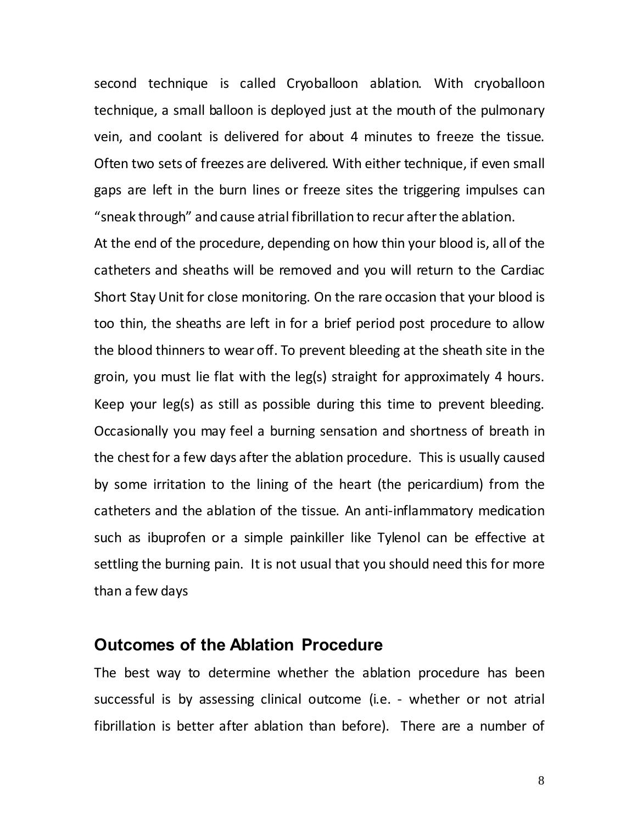second technique is called Cryoballoon ablation. With cryoballoon technique, a small balloon is deployed just at the mouth of the pulmonary vein, and coolant is delivered for about 4 minutes to freeze the tissue. Often two sets of freezes are delivered. With either technique, if even small gaps are left in the burn lines or freeze sites the triggering impulses can "sneak through" and cause atrial fibrillation to recur afterthe ablation.

At the end of the procedure, depending on how thin your blood is, all of the catheters and sheaths will be removed and you will return to the Cardiac Short Stay Unit for close monitoring. On the rare occasion that your blood is too thin, the sheaths are left in for a brief period post procedure to allow the blood thinners to wear off. To prevent bleeding at the sheath site in the groin, you must lie flat with the leg(s) straight for approximately 4 hours. Keep your leg(s) as still as possible during this time to prevent bleeding. Occasionally you may feel a burning sensation and shortness of breath in the chest for a few days after the ablation procedure. This is usually caused by some irritation to the lining of the heart (the pericardium) from the catheters and the ablation of the tissue. An anti-inflammatory medication such as ibuprofen or a simple painkiller like Tylenol can be effective at settling the burning pain. It is not usual that you should need this for more than a few days

#### **Outcomes of the Ablation Procedure**

The best way to determine whether the ablation procedure has been successful is by assessing clinical outcome (i.e. - whether or not atrial fibrillation is better after ablation than before). There are a number of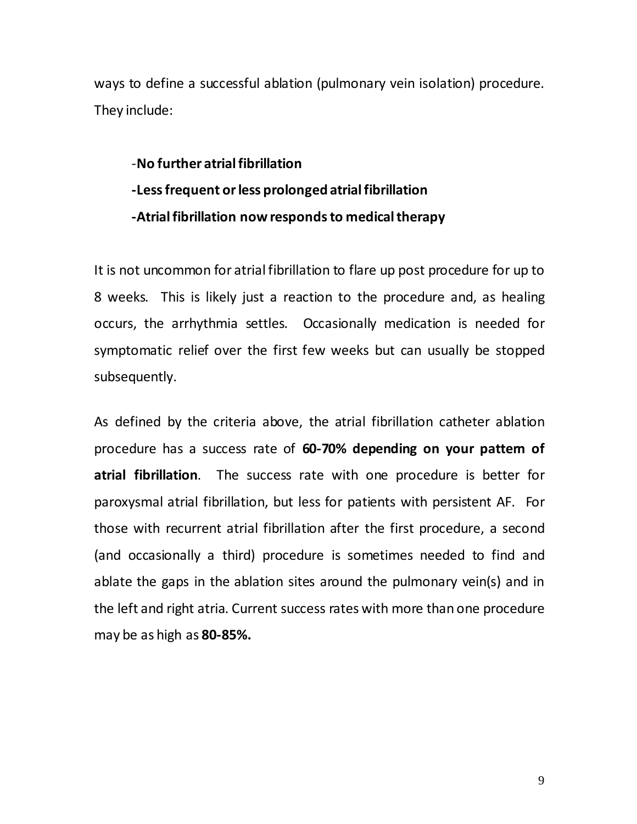ways to define a successful ablation (pulmonary vein isolation) procedure. They include:

# -**No further atrialfibrillation -Lessfrequent orless prolonged atrialfibrillation -Atrialfibrillation nowrespondsto medicaltherapy**

It is not uncommon for atrial fibrillation to flare up post procedure for up to 8 weeks. This is likely just a reaction to the procedure and, as healing occurs, the arrhythmia settles. Occasionally medication is needed for symptomatic relief over the first few weeks but can usually be stopped subsequently.

As defined by the criteria above, the atrial fibrillation catheter ablation procedure has a success rate of **60-70% depending on your pattern of atrial fibrillation**. The success rate with one procedure is better for paroxysmal atrial fibrillation, but less for patients with persistent AF. For those with recurrent atrial fibrillation after the first procedure, a second (and occasionally a third) procedure is sometimes needed to find and ablate the gaps in the ablation sites around the pulmonary vein(s) and in the left and right atria. Current success rates with more than one procedure may be as high as **80-85%.**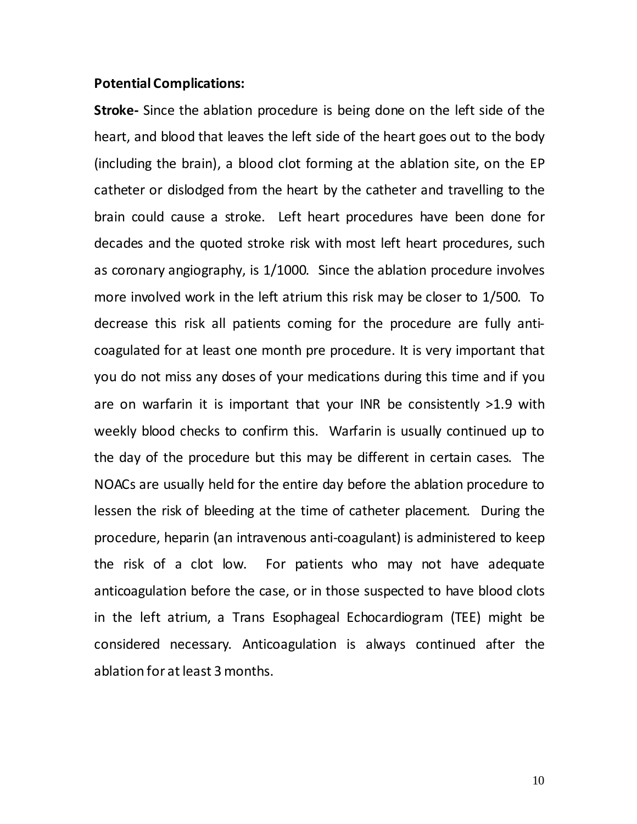#### **Potential Complications:**

**Stroke-** Since the ablation procedure is being done on the left side of the heart, and blood that leaves the left side of the heart goes out to the body (including the brain), a blood clot forming at the ablation site, on the EP catheter or dislodged from the heart by the catheter and travelling to the brain could cause a stroke. Left heart procedures have been done for decades and the quoted stroke risk with most left heart procedures, such as coronary angiography, is 1/1000. Since the ablation procedure involves more involved work in the left atrium this risk may be closer to 1/500. To decrease this risk all patients coming for the procedure are fully anticoagulated for at least one month pre procedure. It is very important that you do not miss any doses of your medications during this time and if you are on warfarin it is important that your INR be consistently >1.9 with weekly blood checks to confirm this. Warfarin is usually continued up to the day of the procedure but this may be different in certain cases. The NOACs are usually held for the entire day before the ablation procedure to lessen the risk of bleeding at the time of catheter placement. During the procedure, heparin (an intravenous anti-coagulant) is administered to keep the risk of a clot low. For patients who may not have adequate anticoagulation before the case, or in those suspected to have blood clots in the left atrium, a Trans Esophageal Echocardiogram (TEE) might be considered necessary. Anticoagulation is always continued after the ablation for at least 3 months.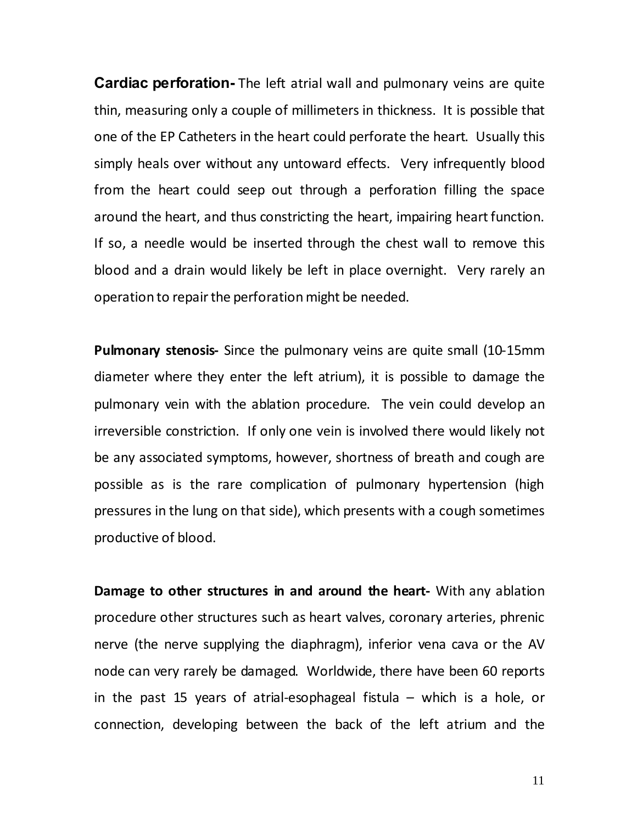**Cardiac perforation-** The left atrial wall and pulmonary veins are quite thin, measuring only a couple of millimeters in thickness. It is possible that one of the EP Catheters in the heart could perforate the heart. Usually this simply heals over without any untoward effects. Very infrequently blood from the heart could seep out through a perforation filling the space around the heart, and thus constricting the heart, impairing heart function. If so, a needle would be inserted through the chest wall to remove this blood and a drain would likely be left in place overnight. Very rarely an operation to repair the perforation might be needed.

**Pulmonary stenosis-** Since the pulmonary veins are quite small (10-15mm diameter where they enter the left atrium), it is possible to damage the pulmonary vein with the ablation procedure. The vein could develop an irreversible constriction. If only one vein is involved there would likely not be any associated symptoms, however, shortness of breath and cough are possible as is the rare complication of pulmonary hypertension (high pressures in the lung on that side), which presents with a cough sometimes productive of blood.

**Damage to other structures in and around the heart-** With any ablation procedure other structures such as heart valves, coronary arteries, phrenic nerve (the nerve supplying the diaphragm), inferior vena cava or the AV node can very rarely be damaged. Worldwide, there have been 60 reports in the past 15 years of atrial-esophageal fistula – which is a hole, or connection, developing between the back of the left atrium and the